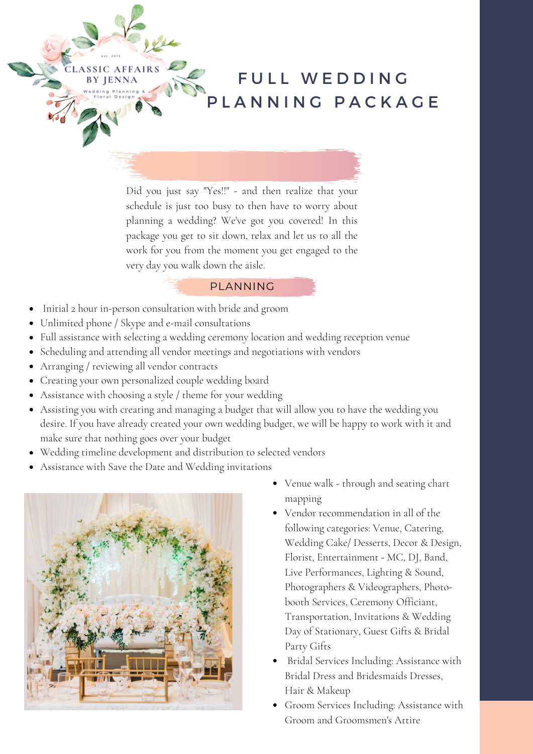

Did you just say "Yes!!" - and then realize that your schedule is just too busy to then have to worry about planning a wedding? We've got you covered! In this package you get to sit down, relax and let us to all the work for you from the moment you get engaged to the very day you walk down the aisle.

## PLANNING

- Initial 2 hour in-person consultation with bride and groom
- Unlimited phone / Skype and e-mail consultations
- Full assistance with selecting a wedding ceremony location and wedding reception venue
- Scheduling and attending all vendor meetings and negotiations with vendors
- Arranging / reviewing all vendor contracts

**LASSIC AFFAIRS BY JENNA** 

- Creating your own personalized couple wedding board
- Assistance with choosing a style / theme for your wedding
- Assisting you with creating and managing a budget that will allow you to have the wedding you desire. If you have already created your own wedding budget, we will be happy to work with it and make sure that nothing goes over your budget
- Wedding timeline development and distribution to selected vendors
- Assistance with Save the Date and Wedding invitations



- Venue walk through and seating chart mapping
- Vendor recommendation in all of the following categories: Venue, Catering, Wedding Cake/ Desserts, Decor & Design, Florist, Entertainment - MC, DJ, Band, Live Performances, Lighting & Sound, Photographers & Videographers, Photobooth Services, Ceremony Officiant, Transportation, Invitations & Wedding Day of Stationary, Guest Gifts & Bridal Party Gifts
- Bridal Services Including: Assistance with Bridal Dress and Bridesmaids Dresses, Hair & Makeup
- Groom Services Including: Assistance with Groom and Groomsmen's Attire